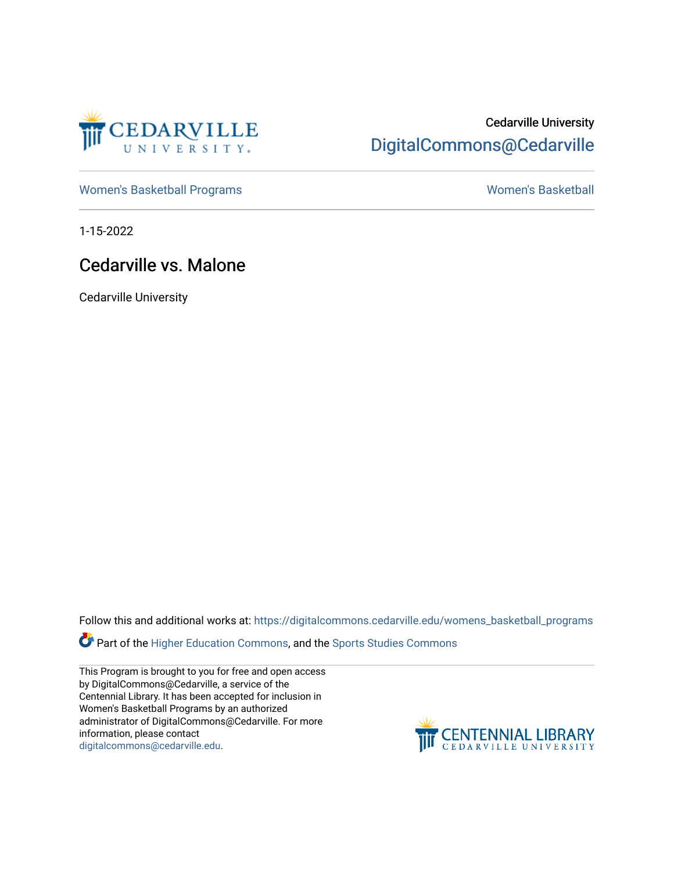

### Cedarville University [DigitalCommons@Cedarville](https://digitalcommons.cedarville.edu/)

[Women's Basketball Programs](https://digitalcommons.cedarville.edu/womens_basketball_programs) North Controller and Momen's Basketball

1-15-2022

### Cedarville vs. Malone

Cedarville University

Follow this and additional works at: [https://digitalcommons.cedarville.edu/womens\\_basketball\\_programs](https://digitalcommons.cedarville.edu/womens_basketball_programs?utm_source=digitalcommons.cedarville.edu%2Fwomens_basketball_programs%2F519&utm_medium=PDF&utm_campaign=PDFCoverPages)

Part of the [Higher Education Commons,](http://network.bepress.com/hgg/discipline/1245?utm_source=digitalcommons.cedarville.edu%2Fwomens_basketball_programs%2F519&utm_medium=PDF&utm_campaign=PDFCoverPages) and the Sports Studies Commons

This Program is brought to you for free and open access by DigitalCommons@Cedarville, a service of the Centennial Library. It has been accepted for inclusion in Women's Basketball Programs by an authorized administrator of DigitalCommons@Cedarville. For more information, please contact [digitalcommons@cedarville.edu](mailto:digitalcommons@cedarville.edu).

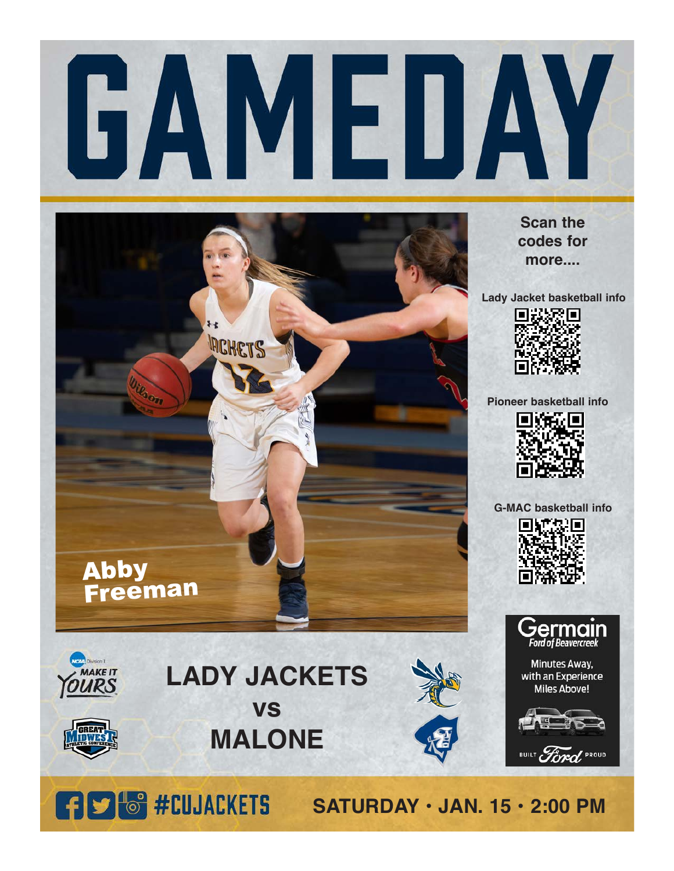



**Scan the codes for more....**

**Lady Jacket basketball info**



**Pioneer basketball info**



**G-MAC basketball info**





Minutes Away, with an Experience **Miles Above!** 



**Vieta** Division II

# **vs MALONE**



BUILT Ford PROUD

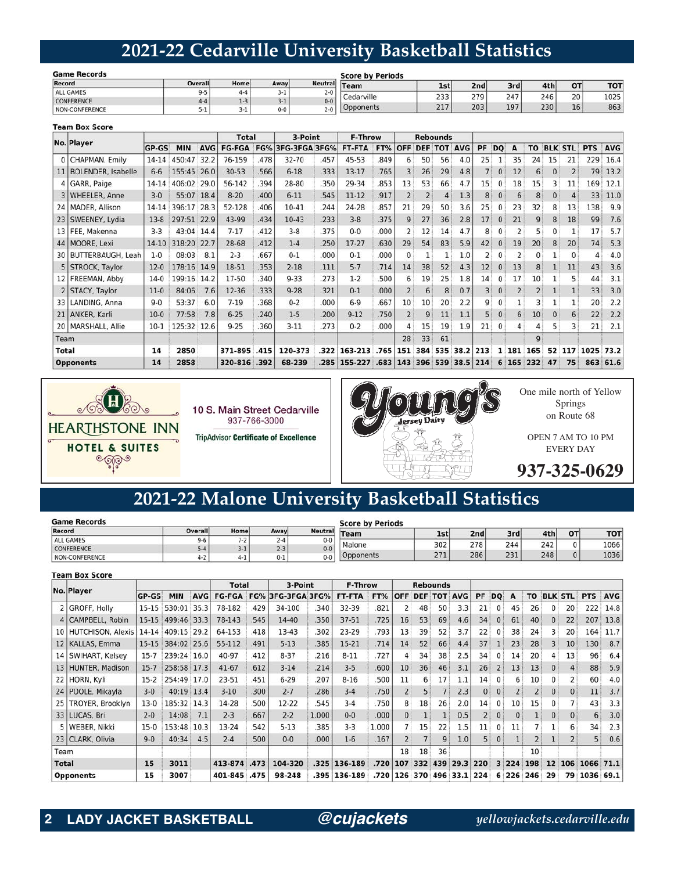### **2021-22 Cedarville University Basketball Statistics**

| <b>Game Records</b> |         |      | <b>Score by Periods</b> |                |            |      |     |     |      |           |            |
|---------------------|---------|------|-------------------------|----------------|------------|------|-----|-----|------|-----------|------------|
| Record              | Overall | Home | Away                    | <b>Neutral</b> | Team       | 1st' | 2nd | 3rd | 4th. | <b>OT</b> | <b>TOT</b> |
| <b>ALL GAMES</b>    | כ-      |      | $3-1$                   | $2 - 0$        | Cedarville | 222  | 279 |     | 246  | 20        | 1025       |
| <b>CONFERENCE</b>   |         |      | $3-1$                   | $0 - 0$        |            | ددء  |     | 247 |      |           |            |
| NON-CONFERENCE      | $-$     |      | $0 - 0$                 | $2 - 0$        | Opponents  | 217  | 203 | 197 | 230  | 16        | 863        |

|                 | <b>Team Box Score</b>     |           |             |            |               |      |               |      |           |      |                |                |                 |          |    |              |                |                |    |                |            |            |
|-----------------|---------------------------|-----------|-------------|------------|---------------|------|---------------|------|-----------|------|----------------|----------------|-----------------|----------|----|--------------|----------------|----------------|----|----------------|------------|------------|
|                 |                           |           |             |            | <b>Total</b>  |      | 3-Point       |      | F-Throw   |      |                |                | <b>Rebounds</b> |          |    |              |                |                |    |                |            |            |
|                 | No. Player                | GP-GS     | <b>MIN</b>  | <b>AVG</b> | <b>FG-FGA</b> | FG%  | 3FG-3FGA 3FG% |      | FT-FTA    | FT%  | <b>OFF</b>     | <b>DEF</b>     | <b>TOT</b>      | AVG      | PF | <b>DO</b>    | A              | <b>TO</b>      |    | <b>BLK STL</b> | <b>PTS</b> | <b>AVG</b> |
|                 | 0 CHAPMAN, Emily          | $14 - 14$ | 450:47      | 32.2       | 76-159        | .478 | 32-70         | .457 | 45-53     | .849 | 6              | 50             | 56              | 4.0      | 25 | $\mathbf{1}$ | 35             | 24             | 15 | 21             | 229        | 16.4       |
| 11              | <b>BOLENDER, Isabelle</b> | $6 - 6$   | 155:45      | 26.0       | $30 - 53$     | .566 | $6 - 18$      | .333 | $13-17$   | .765 | 3              | 26             | 29              | 4.8      |    | $\mathbf{0}$ | 12             | 6              | 0  | $\overline{2}$ | 79         | 13.2       |
|                 | 4 GARR, Paige             | 14-14     | 406:02      | 29.0       | 56-142        | .394 | 28-80         | .350 | 29-34     | .853 | 13             | 53             | 66              | 4.7      | 15 | 0            | 18             | 15             | 3  | 11             | 169        | 12.1       |
|                 | 3   WHEELER, Anne         | $3 - 0$   | 55:07 18.4  |            | $8 - 20$      | .400 | $6 - 11$      | .545 | $11 - 12$ | .917 | $\overline{2}$ | $\overline{2}$ | 4               | 1.3      | 8  | $\bf{0}$     | 6              | 8              | 0  | 4              | 33         | 11.0       |
|                 | 24   MADER, Allison       | $14 - 14$ | 396:17      | 28.3       | 52-128        | .406 | $10-41$       | .244 | 24-28     | .857 | 21             | 29             | 50              | 3.6      | 25 |              | 23             | 32             | 8  | 13             | 138        | 9.9        |
| 23              | SWEENEY, Lydia            | $13-8$    | 297:51 22.9 |            | 43-99         | .434 | $10-43$       | .233 | $3 - 8$   | .375 | 9              | 27             | 36              | 2.8      | 17 | $\Omega$     | 21             | 9              | 8  | 18             | 99         | 7.6        |
| 13 <sup>1</sup> | FEE, Makenna              | $3 - 3$   | 43:04 14.4  |            | $7 - 17$      | .412 | $3 - 8$       | .375 | $0 - 0$   | .000 | 2              | 12             | 14              | 4.7      | 8  |              |                | 5              | 0  |                | 17         | 5.7        |
|                 | 44 MOORE, Lexi            | $14-10$   | 318:20      | 22.7       | 28-68         | .412 | $1 - 4$       | .250 | $17-27$   | .630 | 29             | 54             | 83              | 5.9      | 42 | $\mathbf{0}$ | 19             | 20             | 8  | 20             | 74         | 5.3        |
|                 | 30   BUTTERBAUGH, Leah    | $1 - 0$   | 08:03       | 8.1        | $2 - 3$       | .667 | $0 - 1$       | .000 | $0 - 1$   | .000 | $\mathbf{0}$   |                |                 | 1.0      |    | 0            |                | 0              |    | 0              | 4          | 4.0        |
|                 | 5 STROCK, Taylor          | $12-0$    | 178:16 14.9 |            | 18-51         | .353 | $2 - 18$      | .111 | $5 - 7$   | .714 | 14             | 38             | 52              | 4.3      | 12 | $\Omega$     | 13             | 8              |    | 11             | 43         | 3.6        |
|                 | 12   FREEMAN, Abby        | $14-0$    | 199:16 14.2 |            | 17-50         | .340 | $9 - 33$      | .273 | $1-2$     | .500 | 6              | 19             | 25              | 1.8      | 14 | $\Omega$     | 17             | 10             |    | 5              | 44         | 3.1        |
|                 | 2 STACY, Taylor           | $11-0$    | 84:06       | 7.6        | $12 - 36$     | .333 | $9 - 28$      | .321 | $0 - 1$   | .000 | $\overline{2}$ | 6              | 8               | 0.7      |    | $\mathbf{0}$ | $\overline{2}$ | $\overline{2}$ |    |                | 33         | 3.0        |
| 33              | LANDING, Anna             | $9 - 0$   | 53:37       | 6.0        | $7 - 19$      | .368 | $0 - 2$       | .000 | $6-9$     | .667 | 10             | 10             | 20              | 2.2      | 9  |              |                | 3              |    |                | 20         | 2.2        |
| 21 <sup>1</sup> | ANKER, Karli              | $10-0$    | 77:58       | 7.8        | $6 - 25$      | .240 | $1 - 5$       | .200 | $9 - 12$  | .750 |                | 9              | 11              | 1.1      |    |              | 6              | 10             |    | 6              | 22         | 2.2        |
|                 | 20   MARSHALL, Allie      | $10-1$    | 125:32 12.6 |            | $9 - 25$      | .360 | $3-11$        | .273 | $0 - 2$   | .000 | 4              | 15             | 19              | 1.9      | 21 | $^{\circ}$   | 4              | 4              |    | 3              | 21         | 2.1        |
| Team            |                           |           |             |            |               |      |               |      |           |      | 28             | 33             | 61              |          |    |              |                | $\mathbf{q}$   |    |                |            |            |
| <b>Total</b>    |                           | 14        | 2850        |            | 371-895       | .415 | 120-373       | .322 | 163-213   | .765 | 151            | 384            | 535             | 38.2 213 |    | 1            | 181            | 165            | 52 | 117            | 1025       | 73.2       |
|                 | <b>Opponents</b>          | 14        | 2858        |            | 320-816       | .392 | 68-239        | .285 | 155-227   | .683 |                |                | 143 396 539     | 38.5 214 |    | 6            | 165            | 232            | 47 | 75             |            | 863 61.6   |



10 S. Main Street Cedarville 937-766-3000 **TripAdvisor Certificate of Excellence** 



on Route 68

EVERY DAY

### **2021-22 Malone University Basketball Statistics**

| <b>Game Records</b> |                |               | <b>Score by Periods</b> |                |             |            |                 |     |     |          |            |
|---------------------|----------------|---------------|-------------------------|----------------|-------------|------------|-----------------|-----|-----|----------|------------|
| Record              | <b>Overall</b> | Home          | Away                    | <b>Neutral</b> | <b>Team</b> | 1st        | 2 <sub>nd</sub> | 3rd | 4th | OT       | <b>TOT</b> |
| ALL GAMES           | $9 - 6$        | $\rightarrow$ |                         | $0 - 0$        |             |            |                 |     |     |          |            |
| <b>CONFERENCE</b>   | $-4$           |               | 2-3                     | $0 - 0$        | Malone      | 302        | 278             | 244 | 242 |          | 1066       |
| I NON-CONFERENCE    | $4 - 2$        | $-$           | $0 - 1$                 | $0 - 0$        | Opponents   | 771<br>، ے | 286             | 231 | 248 | $\Omega$ | 1036       |

#### **Team Box Score**

|       | No. Player            |              |             |      | <b>Total</b>  |      | 3-Point           |       | <b>F-Throw</b> |       |                |     | <b>Rebounds</b> |                      |    |                |     |           |          |                |            |            |
|-------|-----------------------|--------------|-------------|------|---------------|------|-------------------|-------|----------------|-------|----------------|-----|-----------------|----------------------|----|----------------|-----|-----------|----------|----------------|------------|------------|
|       |                       | <b>GP-GS</b> | <b>MIN</b>  | AVG  | <b>FG-FGA</b> |      | FG% 3FG-3FGA 3FG% |       | FT-FTA         | FT%   | OFF            |     |                 | <b>DEF TOT AVG</b>   | PF | DO             | A   | <b>TO</b> |          | <b>BLK STL</b> | <b>PTS</b> | <b>AVG</b> |
|       | 2 GROFF, Holly        | $15 - 15$    | 530:01      | 35.3 | 78-182        | .429 | 34-100            | 340   | 32-39          | .821  |                | 48  | 50              | 3.3                  | 21 | $\Omega$       | 45  | 26        | 0        | 20             | 222        | 14.8       |
|       | 4 CAMPBELL, Robin     | $15 - 15$    | 499:46 33.3 |      | 78-143        | .545 | 14-40             | 350   | $37 - 51$      | .725  | 16             | 53  | 69              | 4.6                  | 34 | $\Omega$       | 61  | 40        | $\Omega$ | 22             | 207        | 13.8       |
|       | 10 HUTCHISON, Alexis  | 14-14        | 409:15 29.2 |      | 64-153        | .418 | 13-43             | 302   | 23-29          | .793  | 13             | 39  | 52              | 3.7                  | 22 |                | 38  | 24        | 3        | 20             | 164        | 11.7       |
|       | 12   KALLAS, Emma     | $15 - 15$    | 384:02 25.6 |      | 55-112        | .491 | $5 - 13$          | .385  | 15-21          | .714  | 14             | 52  | 66              | 4.4                  | 37 |                | 23  | 28        | 3        | 10             | 130        | 8.7        |
|       | 14   SWIHART, Kelsey  | $15 - 7$     | 239:24 16.0 |      | 40-97         | .412 | $8 - 37$          | .216  | $8 - 11$       | .727  | 4              | 34  | 38              | 2.5                  | 34 |                | 14  | 20        | 4        | 13             | 96         | 6.4        |
|       | 13 HUNTER, Madison    | $15 - 7$     | 258:58 17.3 |      | $41 - 67$     | .612 | $3 - 14$          | .214  | $3 - 5$        | .600  | 10             | 36  | 46              | 3.1                  | 26 | $\overline{2}$ | 13  | 13        | $\Omega$ | $\overline{4}$ | 88         | 5.9        |
|       | 22 HORN, Kyli         | $15-2$       | 254:49 17.0 |      | 23-51         | 451  | $6 - 29$          | 207   | $8 - 16$       | .500  | 11             | 6   | 17              | 1.1                  | 14 |                | 6   | 10        | 0        | 2              | 60         | 4.0        |
|       | 24   POOLE, Mikayla   | $3-0$        | 40:19 13.4  |      | $3-10$        | .300 | $2 - 7$           | .286  | $3 - 4$        | .750  |                |     |                 | 2.3                  |    |                |     |           | 0        | $\mathbf{0}$   | 11         | 3.7        |
|       | 25   TROYER, Brooklyn | $13-0$       | 185:32 14.3 |      | 14-28         | .500 | 12-22             | 545   | $3-4$          | .750  | 8              | 18  | 26              | 2.0                  | 14 | 0              | 10  | 15        | 0        |                | 43         | 3.3        |
|       | 33 LUCAS, Bri         | $2 - 0$      | 14:08       | 7.1  | $2 - 3$       | .667 | $2 - 2$           | 1.000 | $0 - 0$        | .000  | $\overline{0}$ |     |                 | 0.5                  |    | $\mathbf{0}$   |     |           | $\Omega$ | $\Omega$       | 6          | 3.0        |
|       | 5 WEBER, Nikki        | $15-0$       | 153:48      | 10.3 | 13-24         | 542  | $5 - 13$          | 385   | $3-3$          | 1.000 |                | 15  | 22              | 1.5                  | 11 |                | 11  |           |          | 6              | 34         | 2.3        |
|       | 23 CLARK, Olivia      | $9 - 0$      | 40:34       | 4.5  | $2 - 4$       | .500 | $0 - 0$           | .000  | $1-6$          | .167  |                |     | 9               | 1.0                  | 5  | $\mathbf{0}$   |     |           |          |                | 5          | 0.6        |
| Team  |                       |              |             |      |               |      |                   |       |                |       | 18             | 18  | 36              |                      |    |                |     | 10        |          |                |            |            |
| Total |                       | 15           | 3011        |      | 413-874       | .473 | 104-320           | .325  | 136-189        | .720  | 107            | 332 | 439             | 29.3 220             |    | 3              | 224 | 198       | 12       |                | 106 1066   | 71.1       |
|       | <b>Opponents</b>      | 15           | 3007        |      | 401-845 .475  |      | 98-248            | .395  | 136-189        | .720  |                |     |                 | 126 370 496 33.1 224 |    | 6              | 226 | 246       | 29       | 79             | 1036 69.1  |            |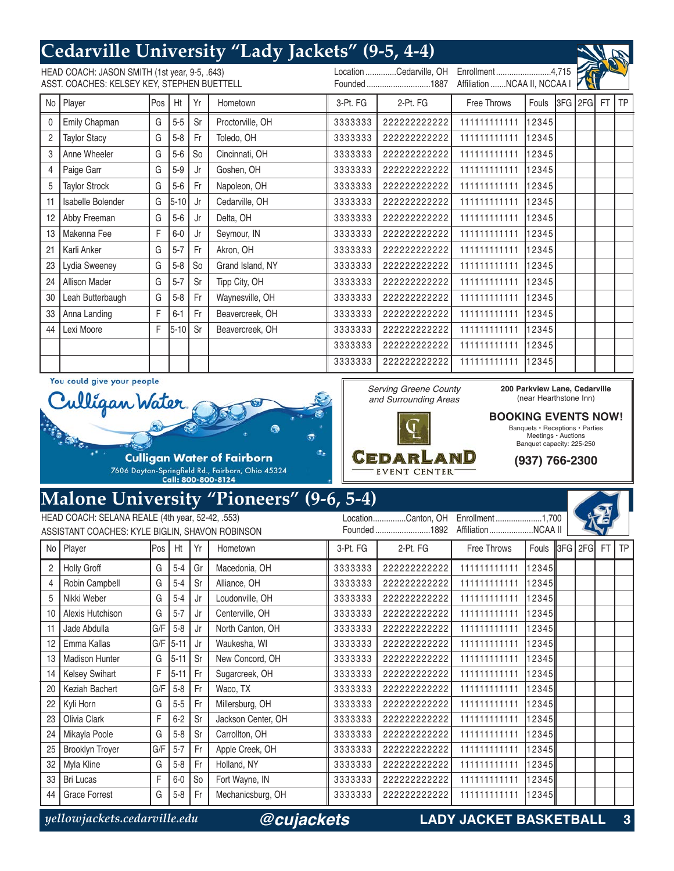## **Cedarville University "Lady Jackets" (9-5, 4-4)**

| HEAD COACH: JASON SMITH (1st year, 9-5, .643)<br>ASST. COACHES: KELSEY KEY, STEPHEN BUETTELL |                      |     |          |                |                  |          | Location Cedarville, OH<br>Founded1887 | Affiliation NCAA II, NCCAA I |       |  |            |    |
|----------------------------------------------------------------------------------------------|----------------------|-----|----------|----------------|------------------|----------|----------------------------------------|------------------------------|-------|--|------------|----|
| No                                                                                           | Player               | Pos | Ht       | Yr             | Hometown         | 3-Pt. FG | 2-Pt. FG                               | Free Throws                  | Fouls |  | 3FG 2FG FT | TP |
| $\Omega$                                                                                     | Emily Chapman        | G   | $5-5$    | Sr             | Proctorville, OH | 3333333  | 22222222222                            | 111111111111                 | 12345 |  |            |    |
| $\overline{2}$                                                                               | <b>Taylor Stacy</b>  | G   | $5 - 8$  | Fr             | Toledo, OH       | 3333333  | 22222222222                            | 111111111111                 | 12345 |  |            |    |
| 3                                                                                            | Anne Wheeler         | G   | $5-6$    | S <sub>o</sub> | Cincinnati, OH   | 3333333  | 22222222222                            | 111111111111                 | 12345 |  |            |    |
| 4                                                                                            | Paige Garr           | G   | $5-9$    | Jr             | Goshen, OH       | 3333333  | 22222222222                            | 111111111111                 | 12345 |  |            |    |
| 5                                                                                            | <b>Taylor Strock</b> | G   | $5-6$    | Fr             | Napoleon, OH     | 3333333  | 22222222222                            | 111111111111                 | 12345 |  |            |    |
| 11                                                                                           | Isabelle Bolender    | G   | $5 - 10$ | Jr             | Cedarville, OH   | 3333333  | 22222222222                            | 11111111111                  | 12345 |  |            |    |
| 12                                                                                           | Abby Freeman         | G   | $5-6$    | Jr             | Delta, OH        | 3333333  | 22222222222                            | 111111111111                 | 12345 |  |            |    |
| 13                                                                                           | Makenna Fee          | F   | $6-0$    | Jr             | Seymour, IN      | 3333333  | 22222222222                            | 111111111111                 | 12345 |  |            |    |
| 21                                                                                           | Karli Anker          | G   | $5 - 7$  | Fr             | Akron, OH        | 3333333  | 22222222222                            | 111111111111                 | 12345 |  |            |    |
| 23                                                                                           | Lydia Sweeney        | G   | $5-8$    | S <sub>o</sub> | Grand Island, NY | 3333333  | 22222222222                            | 111111111111                 | 12345 |  |            |    |
| 24                                                                                           | Allison Mader        | G   | $5 - 7$  | Sr             | Tipp City, OH    | 3333333  | 22222222222                            | 111111111111                 | 12345 |  |            |    |
| 30                                                                                           | Leah Butterbaugh     | G   | $5-8$    | Fr             | Waynesville, OH  | 3333333  | 22222222222                            | 111111111111                 | 12345 |  |            |    |
| 33                                                                                           | Anna Landing         | F   | $6 - 1$  | Fr             | Beavercreek, OH  | 3333333  | 22222222222                            | 111111111111                 | 12345 |  |            |    |
| 44                                                                                           | Lexi Moore           | F   | $5-10$   | Sr             | Beavercreek, OH  | 3333333  | 22222222222                            | 111111111111                 | 12345 |  |            |    |
|                                                                                              |                      |     |          |                |                  | 3333333  | 22222222222                            | 111111111111                 | 12345 |  |            |    |
|                                                                                              |                      |     |          |                |                  | 3333333  | 22222222222                            | 111111111111                 | 12345 |  |            |    |

Serving Greene County and Surrounding Areas

Cedarland

EVENT CENTER

You could give your people



### **Malone University "Pioneers" (9-6, 5-4)**

| HEAD COACH: SELANA REALE (4th year, 52-42, .553) |                        |      |          |                |                    |          | LocationCanton, OH | Enrollment1,700    |       |                        |         |  |
|--------------------------------------------------|------------------------|------|----------|----------------|--------------------|----------|--------------------|--------------------|-------|------------------------|---------|--|
| ASSISTANT COACHES: KYLE BIGLIN, SHAVON ROBINSON  |                        |      |          |                |                    |          | Founded1892        | AffiliationNCAA II |       |                        |         |  |
|                                                  | No Player              | lPos | Ht       | Yr             | Hometown           | 3-Pt. FG | 2-Pt. FG           | Free Throws        | Fouls | $\ $ 3FG $\ $ 2FG $\ $ | FT I TP |  |
| $\overline{2}$                                   | <b>Holly Groff</b>     | G    | $5 - 4$  | Gr             | Macedonia, OH      | 3333333  | 22222222222        | 111111111111       | 12345 |                        |         |  |
| 4                                                | Robin Campbell         | G    | $5-4$    | Sr             | Alliance, OH       | 3333333  | 22222222222        | 111111111111       | 12345 |                        |         |  |
| 5                                                | Nikki Weber            | G    | $5 - 4$  | Jr             | Loudonville, OH    | 3333333  | 22222222222        | 111111111111       | 12345 |                        |         |  |
| 10                                               | Alexis Hutchison       | G    | $5 - 7$  | Jr             | Centerville, OH    | 3333333  | 22222222222        | 111111111111       | 12345 |                        |         |  |
| 11                                               | Jade Abdulla           | G/F  | $5 - 8$  | Jr             | North Canton, OH   | 3333333  | 22222222222        | 111111111111       | 12345 |                        |         |  |
| 12                                               | Emma Kallas            | G/F  | $5 - 11$ | Jr             | Waukesha, WI       | 3333333  | 22222222222        | 11111111111        | 12345 |                        |         |  |
| 13                                               | <b>Madison Hunter</b>  | G    | $5 - 11$ | Sr             | New Concord, OH    | 3333333  | 22222222222        | 111111111111       | 12345 |                        |         |  |
| 14                                               | <b>Kelsey Swihart</b>  | F    | $5 - 11$ | Fr             | Sugarcreek, OH     | 3333333  | 22222222222        | 111111111111       | 12345 |                        |         |  |
| 20                                               | Keziah Bachert         | G/F  | $5 - 8$  | Fr             | Waco, TX           | 3333333  | 22222222222        | 111111111111       | 12345 |                        |         |  |
| 22                                               | Kyli Horn              | G    | $5-5$    | Fr             | Millersburg, OH    | 3333333  | 22222222222        | 111111111111       | 12345 |                        |         |  |
| 23                                               | Olivia Clark           | F    | $6 - 2$  | Sr             | Jackson Center, OH | 3333333  | 22222222222        | 111111111111       | 12345 |                        |         |  |
| 24                                               | Mikayla Poole          | G    | $5 - 8$  | Sr             | Carrollton, OH     | 3333333  | 22222222222        | 11111111111        | 12345 |                        |         |  |
| 25                                               | <b>Brooklyn Troyer</b> | G/F  | $5 - 7$  | Fr             | Apple Creek, OH    | 3333333  | 22222222222        | 11111111111        | 12345 |                        |         |  |
| 32                                               | Myla Kline             | G    | $5 - 8$  | Fr.            | Holland, NY        | 3333333  | 22222222222        | 111111111111       | 12345 |                        |         |  |
| 33                                               | <b>Bri Lucas</b>       | F    | $6-0$    | S <sub>o</sub> | Fort Wayne, IN     | 3333333  | 22222222222        | 11111111111        | 12345 |                        |         |  |
| 44                                               | <b>Grace Forrest</b>   | G    | $5 - 8$  | Fr.            | Mechanicsburg, OH  | 3333333  | 22222222222        | 11111111111        | 12345 |                        |         |  |

*@cujackets*

*yellowjackets.cedarville.edu* **LADY JACKET BASKETBALL 3**



### **BOOKING EVENTS NOW!** Banquets • Receptions • Parties Meetings • Auctions

Banquet capacity: 225-250

**(937) 766-2300**



 $41.68$